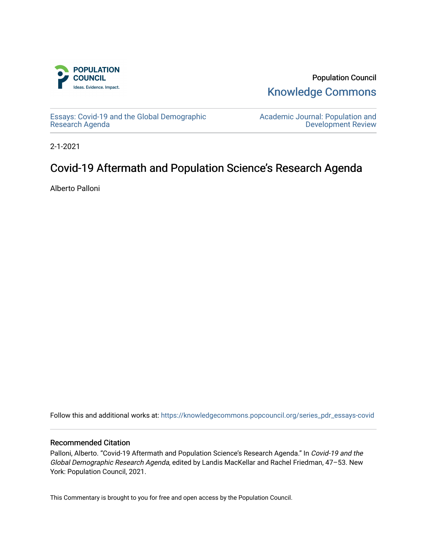

Population Council [Knowledge Commons](https://knowledgecommons.popcouncil.org/) 

[Essays: Covid-19 and the Global Demographic](https://knowledgecommons.popcouncil.org/series_pdr_essays-covid)  [Research Agenda](https://knowledgecommons.popcouncil.org/series_pdr_essays-covid) 

[Academic Journal: Population and](https://knowledgecommons.popcouncil.org/series_pdr)  [Development Review](https://knowledgecommons.popcouncil.org/series_pdr) 

2-1-2021

# Covid-19 Aftermath and Population Science's Research Agenda

Alberto Palloni

Follow this and additional works at: [https://knowledgecommons.popcouncil.org/series\\_pdr\\_essays-covid](https://knowledgecommons.popcouncil.org/series_pdr_essays-covid?utm_source=knowledgecommons.popcouncil.org%2Fseries_pdr_essays-covid%2F10&utm_medium=PDF&utm_campaign=PDFCoverPages) 

### Recommended Citation

Palloni, Alberto. "Covid-19 Aftermath and Population Science's Research Agenda." In Covid-19 and the Global Demographic Research Agenda, edited by Landis MacKellar and Rachel Friedman, 47–53. New York: Population Council, 2021.

This Commentary is brought to you for free and open access by the Population Council.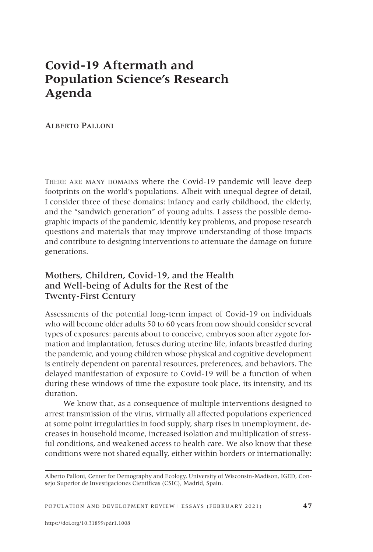## **Covid-19 Aftermath and Population Science's Research Agenda**

Alberto Palloni

There are many domains where the Covid-19 pandemic will leave deep footprints on the world's populations. Albeit with unequal degree of detail, I consider three of these domains: infancy and early childhood, the elderly, and the "sandwich generation" of young adults. I assess the possible demographic impacts of the pandemic, identify key problems, and propose research questions and materials that may improve understanding of those impacts and contribute to designing interventions to attenuate the damage on future generations.

## Mothers, Children, Covid-19, and the Health and Well-being of Adults for the Rest of the Twenty-First Century

Assessments of the potential long-term impact of Covid-19 on individuals who will become older adults 50 to 60 years from now should consider several types of exposures: parents about to conceive, embryos soon after zygote formation and implantation, fetuses during uterine life, infants breastfed during the pandemic, and young children whose physical and cognitive development is entirely dependent on parental resources, preferences, and behaviors. The delayed manifestation of exposure to Covid-19 will be a function of when during these windows of time the exposure took place, its intensity, and its duration.

We know that, as a consequence of multiple interventions designed to arrest transmission of the virus, virtually all affected populations experienced at some point irregularities in food supply, sharp rises in unemployment, decreases in household income, increased isolation and multiplication of stressful conditions, and weakened access to health care. We also know that these conditions were not shared equally, either within borders or internationally:

Alberto Palloni, Center for Demography and Ecology, University of Wisconsin-Madison, IGED, Consejo Superior de Investigaciones Cientificas (CSIC), Madrid, Spain.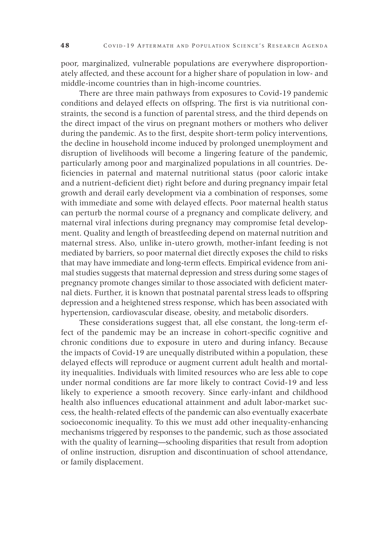poor, marginalized, vulnerable populations are everywhere disproportionately affected, and these account for a higher share of population in low- and middle-income countries than in high-income countries.

There are three main pathways from exposures to Covid-19 pandemic conditions and delayed effects on offspring. The first is via nutritional constraints, the second is a function of parental stress, and the third depends on the direct impact of the virus on pregnant mothers or mothers who deliver during the pandemic. As to the first, despite short-term policy interventions, the decline in household income induced by prolonged unemployment and disruption of livelihoods will become a lingering feature of the pandemic, particularly among poor and marginalized populations in all countries. Deficiencies in paternal and maternal nutritional status (poor caloric intake and a nutrient-deficient diet) right before and during pregnancy impair fetal growth and derail early development via a combination of responses, some with immediate and some with delayed effects. Poor maternal health status can perturb the normal course of a pregnancy and complicate delivery, and maternal viral infections during pregnancy may compromise fetal development. Quality and length of breastfeeding depend on maternal nutrition and maternal stress. Also, unlike in-utero growth, mother-infant feeding is not mediated by barriers, so poor maternal diet directly exposes the child to risks that may have immediate and long-term effects. Empirical evidence from animal studies suggests that maternal depression and stress during some stages of pregnancy promote changes similar to those associated with deficient maternal diets. Further, it is known that postnatal parental stress leads to offspring depression and a heightened stress response, which has been associated with hypertension, cardiovascular disease, obesity, and metabolic disorders.

These considerations suggest that, all else constant, the long-term effect of the pandemic may be an increase in cohort-specific cognitive and chronic conditions due to exposure in utero and during infancy. Because the impacts of Covid-19 are unequally distributed within a population, these delayed effects will reproduce or augment current adult health and mortality inequalities. Individuals with limited resources who are less able to cope under normal conditions are far more likely to contract Covid-19 and less likely to experience a smooth recovery. Since early-infant and childhood health also influences educational attainment and adult labor-market success, the health-related effects of the pandemic can also eventually exacerbate socioeconomic inequality. To this we must add other inequality-enhancing mechanisms triggered by responses to the pandemic, such as those associated with the quality of learning—schooling disparities that result from adoption of online instruction, disruption and discontinuation of school attendance, or family displacement.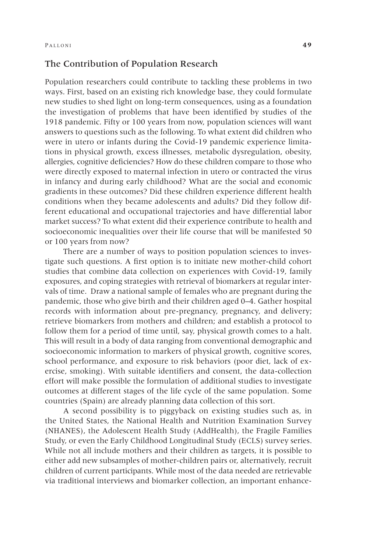#### The Contribution of Population Research

Population researchers could contribute to tackling these problems in two ways. First, based on an existing rich knowledge base, they could formulate new studies to shed light on long-term consequences, using as a foundation the investigation of problems that have been identified by studies of the 1918 pandemic. Fifty or 100 years from now, population sciences will want answers to questions such as the following. To what extent did children who were in utero or infants during the Covid-19 pandemic experience limitations in physical growth, excess illnesses, metabolic dysregulation, obesity, allergies, cognitive deficiencies? How do these children compare to those who were directly exposed to maternal infection in utero or contracted the virus in infancy and during early childhood? What are the social and economic gradients in these outcomes? Did these children experience different health conditions when they became adolescents and adults? Did they follow different educational and occupational trajectories and have differential labor market success? To what extent did their experience contribute to health and socioeconomic inequalities over their life course that will be manifested 50 or 100 years from now?

There are a number of ways to position population sciences to investigate such questions. A first option is to initiate new mother-child cohort studies that combine data collection on experiences with Covid-19, family exposures, and coping strategies with retrieval of biomarkers at regular intervals of time. Draw a national sample of females who are pregnant during the pandemic, those who give birth and their children aged 0–4. Gather hospital records with information about pre-pregnancy, pregnancy, and delivery; retrieve biomarkers from mothers and children; and establish a protocol to follow them for a period of time until, say, physical growth comes to a halt. This will result in a body of data ranging from conventional demographic and socioeconomic information to markers of physical growth, cognitive scores, school performance, and exposure to risk behaviors (poor diet, lack of exercise, smoking). With suitable identifiers and consent, the data-collection effort will make possible the formulation of additional studies to investigate outcomes at different stages of the life cycle of the same population. Some countries (Spain) are already planning data collection of this sort.

A second possibility is to piggyback on existing studies such as, in the United States, the National Health and Nutrition Examination Survey (NHANES), the Adolescent Health Study (AddHealth), the Fragile Families Study, or even the Early Childhood Longitudinal Study (ECLS) survey series. While not all include mothers and their children as targets, it is possible to either add new subsamples of mother-children pairs or, alternatively, recruit children of current participants. While most of the data needed are retrievable via traditional interviews and biomarker collection, an important enhance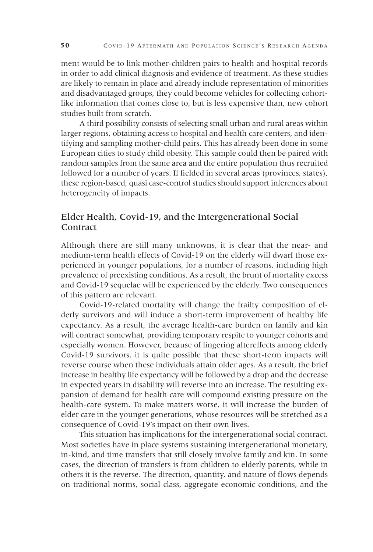ment would be to link mother-children pairs to health and hospital records in order to add clinical diagnosis and evidence of treatment. As these studies are likely to remain in place and already include representation of minorities and disadvantaged groups, they could become vehicles for collecting cohortlike information that comes close to, but is less expensive than, new cohort studies built from scratch.

A third possibility consists of selecting small urban and rural areas within larger regions, obtaining access to hospital and health care centers, and identifying and sampling mother-child pairs. This has already been done in some European cities to study child obesity. This sample could then be paired with random samples from the same area and the entire population thus recruited followed for a number of years. If fielded in several areas (provinces, states), these region-based, quasi case-control studies should support inferences about heterogeneity of impacts.

## Elder Health, Covid-19, and the Intergenerational Social **Contract**

Although there are still many unknowns, it is clear that the near- and medium-term health effects of Covid-19 on the elderly will dwarf those experienced in younger populations, for a number of reasons, including high prevalence of preexisting conditions. As a result, the brunt of mortality excess and Covid-19 sequelae will be experienced by the elderly. Two consequences of this pattern are relevant.

Covid-19-related mortality will change the frailty composition of elderly survivors and will induce a short-term improvement of healthy life expectancy. As a result, the average health-care burden on family and kin will contract somewhat, providing temporary respite to younger cohorts and especially women. However, because of lingering aftereffects among elderly Covid-19 survivors, it is quite possible that these short-term impacts will reverse course when these individuals attain older ages. As a result, the brief increase in healthy life expectancy will be followed by a drop and the decrease in expected years in disability will reverse into an increase. The resulting expansion of demand for health care will compound existing pressure on the health-care system. To make matters worse, it will increase the burden of elder care in the younger generations, whose resources will be stretched as a consequence of Covid-19's impact on their own lives.

This situation has implications for the intergenerational social contract. Most societies have in place systems sustaining intergenerational monetary, in-kind, and time transfers that still closely involve family and kin. In some cases, the direction of transfers is from children to elderly parents, while in others it is the reverse. The direction, quantity, and nature of flows depends on traditional norms, social class, aggregate economic conditions, and the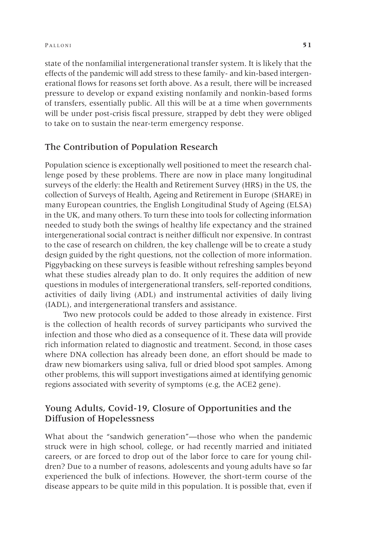state of the nonfamilial intergenerational transfer system. It is likely that the effects of the pandemic will add stress to these family- and kin-based intergenerational flows for reasons set forth above. As a result, there will be increased pressure to develop or expand existing nonfamily and nonkin-based forms of transfers, essentially public. All this will be at a time when governments will be under post-crisis fiscal pressure, strapped by debt they were obliged to take on to sustain the near-term emergency response.

#### The Contribution of Population Research

Population science is exceptionally well positioned to meet the research challenge posed by these problems. There are now in place many longitudinal surveys of the elderly: the Health and Retirement Survey (HRS) in the US, the collection of Surveys of Health, Ageing and Retirement in Europe (SHARE) in many European countries, the English Longitudinal Study of Ageing (ELSA) in the UK, and many others. To turn these into tools for collecting information needed to study both the swings of healthy life expectancy and the strained intergenerational social contract is neither difficult nor expensive. In contrast to the case of research on children, the key challenge will be to create a study design guided by the right questions, not the collection of more information. Piggybacking on these surveys is feasible without refreshing samples beyond what these studies already plan to do. It only requires the addition of new questions in modules of intergenerational transfers, self-reported conditions, activities of daily living (ADL) and instrumental activities of daily living (IADL), and intergenerational transfers and assistance.

Two new protocols could be added to those already in existence. First is the collection of health records of survey participants who survived the infection and those who died as a consequence of it. These data will provide rich information related to diagnostic and treatment. Second, in those cases where DNA collection has already been done, an effort should be made to draw new biomarkers using saliva, full or dried blood spot samples. Among other problems, this will support investigations aimed at identifying genomic regions associated with severity of symptoms (e.g, the ACE2 gene).

## Young Adults, Covid-19, Closure of Opportunities and the Diffusion of Hopelessness

What about the "sandwich generation"—those who when the pandemic struck were in high school, college, or had recently married and initiated careers, or are forced to drop out of the labor force to care for young children? Due to a number of reasons, adolescents and young adults have so far experienced the bulk of infections. However, the short-term course of the disease appears to be quite mild in this population. It is possible that, even if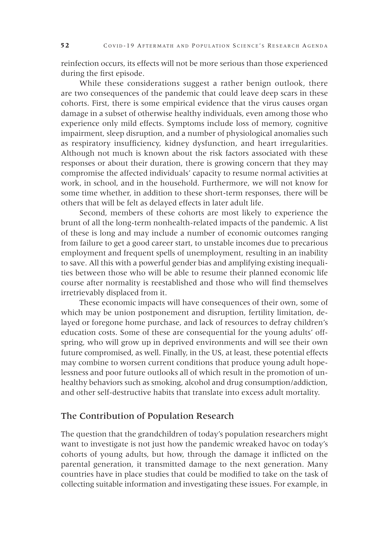reinfection occurs, its effects will not be more serious than those experienced during the first episode.

While these considerations suggest a rather benign outlook, there are two consequences of the pandemic that could leave deep scars in these cohorts. First, there is some empirical evidence that the virus causes organ damage in a subset of otherwise healthy individuals, even among those who experience only mild effects. Symptoms include loss of memory, cognitive impairment, sleep disruption, and a number of physiological anomalies such as respiratory insufficiency, kidney dysfunction, and heart irregularities. Although not much is known about the risk factors associated with these responses or about their duration, there is growing concern that they may compromise the affected individuals' capacity to resume normal activities at work, in school, and in the household. Furthermore, we will not know for some time whether, in addition to these short-term responses, there will be others that will be felt as delayed effects in later adult life.

Second, members of these cohorts are most likely to experience the brunt of all the long-term nonhealth-related impacts of the pandemic. A list of these is long and may include a number of economic outcomes ranging from failure to get a good career start, to unstable incomes due to precarious employment and frequent spells of unemployment, resulting in an inability to save. All this with a powerful gender bias and amplifying existing inequalities between those who will be able to resume their planned economic life course after normality is reestablished and those who will find themselves irretrievably displaced from it.

These economic impacts will have consequences of their own, some of which may be union postponement and disruption, fertility limitation, delayed or foregone home purchase, and lack of resources to defray children's education costs. Some of these are consequential for the young adults' offspring, who will grow up in deprived environments and will see their own future compromised, as well. Finally, in the US, at least, these potential effects may combine to worsen current conditions that produce young adult hopelessness and poor future outlooks all of which result in the promotion of unhealthy behaviors such as smoking, alcohol and drug consumption/addiction, and other self-destructive habits that translate into excess adult mortality.

#### The Contribution of Population Research

The question that the grandchildren of today's population researchers might want to investigate is not just how the pandemic wreaked havoc on today's cohorts of young adults, but how, through the damage it inflicted on the parental generation, it transmitted damage to the next generation. Many countries have in place studies that could be modified to take on the task of collecting suitable information and investigating these issues. For example, in